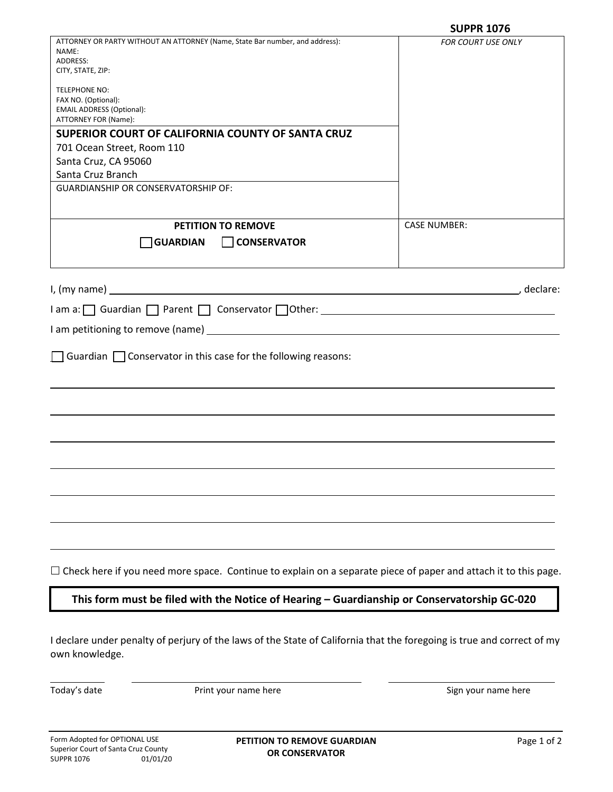|                                                                                                                                          | <b>SUPPR 1076</b>         |
|------------------------------------------------------------------------------------------------------------------------------------------|---------------------------|
| ATTORNEY OR PARTY WITHOUT AN ATTORNEY (Name, State Bar number, and address):                                                             | <b>FOR COURT USE ONLY</b> |
| NAME:<br>ADDRESS:                                                                                                                        |                           |
| CITY, STATE, ZIP:                                                                                                                        |                           |
|                                                                                                                                          |                           |
| TELEPHONE NO:<br>FAX NO. (Optional):                                                                                                     |                           |
| <b>EMAIL ADDRESS (Optional):</b>                                                                                                         |                           |
| ATTORNEY FOR (Name):                                                                                                                     |                           |
| SUPERIOR COURT OF CALIFORNIA COUNTY OF SANTA CRUZ                                                                                        |                           |
| 701 Ocean Street, Room 110                                                                                                               |                           |
| Santa Cruz, CA 95060                                                                                                                     |                           |
| Santa Cruz Branch                                                                                                                        |                           |
| <b>GUARDIANSHIP OR CONSERVATORSHIP OF:</b>                                                                                               |                           |
|                                                                                                                                          |                           |
|                                                                                                                                          |                           |
| <b>PETITION TO REMOVE</b>                                                                                                                | <b>CASE NUMBER:</b>       |
| <b>GUARDIAN</b><br><b>CONSERVATOR</b>                                                                                                    |                           |
|                                                                                                                                          |                           |
|                                                                                                                                          |                           |
|                                                                                                                                          | ., declare:               |
| $\Box$ am a: $\Box$ Guardian $\Box$ Parent $\Box$ Conservator $\Box$ Other:                                                              |                           |
|                                                                                                                                          |                           |
|                                                                                                                                          |                           |
| $\Box$ Guardian $\Box$ Conservator in this case for the following reasons:                                                               |                           |
|                                                                                                                                          |                           |
|                                                                                                                                          |                           |
|                                                                                                                                          |                           |
|                                                                                                                                          |                           |
|                                                                                                                                          |                           |
|                                                                                                                                          |                           |
|                                                                                                                                          |                           |
|                                                                                                                                          |                           |
| $\Box$ Check here if you need more space. Continue to explain on a separate piece of paper and attach it to this page.                   |                           |
| This form must be filed with the Notice of Hearing - Guardianship or Conservatorship GC-020                                              |                           |
|                                                                                                                                          |                           |
| I declare under penalty of perjury of the laws of the State of California that the foregoing is true and correct of my<br>own knowledge. |                           |

Today's date

Print your name here example and the Sign your name here Sign your name here